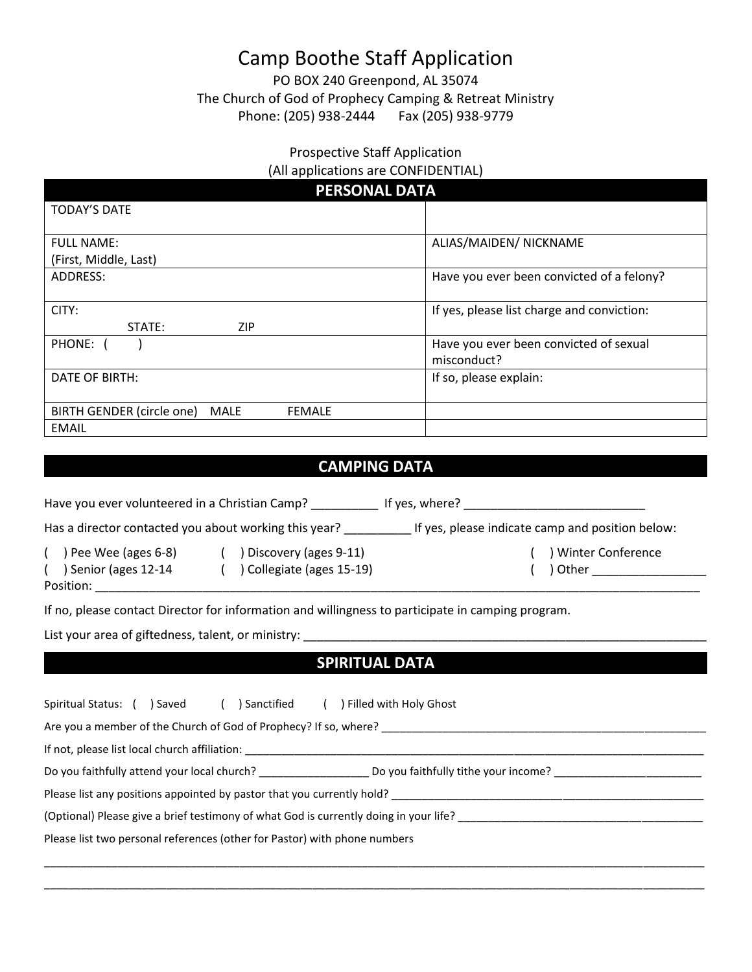# Camp Boothe Staff Application

PO BOX 240 Greenpond, AL 35074 The Church of God of Prophecy Camping & Retreat Ministry Phone: (205) 938-2444 Fax (205) 938-9779

#### Prospective Staff Application (All applications are CONFIDENTIAL)

| <b>PERSONAL DATA</b>                                             |                                            |  |
|------------------------------------------------------------------|--------------------------------------------|--|
| <b>TODAY'S DATE</b>                                              |                                            |  |
|                                                                  |                                            |  |
| <b>FULL NAME:</b>                                                | ALIAS/MAIDEN/ NICKNAME                     |  |
| (First, Middle, Last)                                            |                                            |  |
| ADDRESS:                                                         | Have you ever been convicted of a felony?  |  |
| CITY:                                                            | If yes, please list charge and conviction: |  |
| <b>ZIP</b><br>STATE:                                             |                                            |  |
| PHONE: (                                                         | Have you ever been convicted of sexual     |  |
|                                                                  | misconduct?                                |  |
| DATE OF BIRTH:                                                   | If so, please explain:                     |  |
| <b>BIRTH GENDER (circle one)</b><br><b>MALE</b><br><b>FEMALE</b> |                                            |  |
| EMAIL                                                            |                                            |  |

## **CAMPING DATA**

Have you ever volunteered in a Christian Camp? \_\_\_\_\_\_\_\_\_\_\_\_\_ If yes, where? \_\_\_\_\_\_\_\_\_\_\_\_\_\_\_\_\_\_\_\_\_\_\_\_\_\_\_\_\_\_\_\_\_\_

Has a director contacted you about working this year? \_\_\_\_\_\_\_\_\_\_\_\_\_\_ If yes, please indicate camp and position below:

( ) Pee Wee (ages 6-8) ( ) Discovery (ages 9-11) ( ) Winter Conference ( ) Senior (ages 12-14 ( ) Collegiate (ages 15-19) ( ) Other \_\_\_\_\_\_\_\_\_\_\_\_\_\_\_\_\_\_\_ Position: \_\_\_\_\_\_\_\_\_\_\_\_\_\_\_\_\_\_\_\_\_\_\_\_\_\_\_\_\_\_\_\_\_\_\_\_\_\_\_\_\_\_\_\_\_\_\_\_\_\_\_\_\_\_\_\_\_\_\_\_\_\_\_\_\_\_\_\_\_\_\_\_\_\_\_\_\_\_\_\_\_\_\_\_\_\_\_\_\_\_

If no, please contact Director for information and willingness to participate in camping program.

List your area of giftedness, talent, or ministry:

## **SPIRITUAL DATA**

| Spiritual Status: (<br>Sanctified (<br>) Filled with Holy Ghost<br>) Saved                                                              |
|-----------------------------------------------------------------------------------------------------------------------------------------|
| Are you a member of the Church of God of Prophecy? If so, where?                                                                        |
| If not, please list local church affiliation:                                                                                           |
| Do you faithfully attend your local church? _________________________ Do you faithfully tithe your income? ____________________________ |
| Please list any positions appointed by pastor that you currently hold?                                                                  |
| (Optional) Please give a brief testimony of what God is currently doing in your life?                                                   |
| Please list two personal references (other for Pastor) with phone numbers                                                               |
|                                                                                                                                         |

\_\_\_\_\_\_\_\_\_\_\_\_\_\_\_\_\_\_\_\_\_\_\_\_\_\_\_\_\_\_\_\_\_\_\_\_\_\_\_\_\_\_\_\_\_\_\_\_\_\_\_\_\_\_\_\_\_\_\_\_\_\_\_\_\_\_\_\_\_\_\_\_\_\_\_\_\_\_\_\_\_\_\_\_\_\_\_\_\_\_\_\_\_\_\_\_\_\_\_\_\_\_\_\_\_\_\_\_